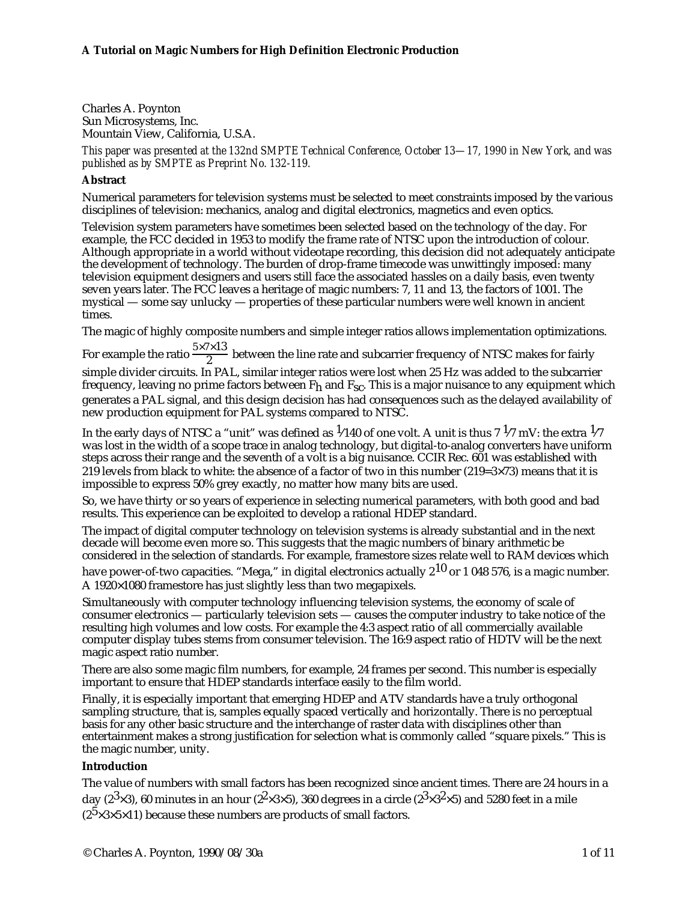Charles A. Poynton Sun Microsystems, Inc. Mountain View, California, U.S.A.

*This paper was presented at the 132nd SMPTE Technical Conference, October 13—17, 1990 in New York, and was published as by SMPTE as Preprint No. 132-119.*

# **Abstract**

Numerical parameters for television systems must be selected to meet constraints imposed by the various disciplines of television: mechanics, analog and digital electronics, magnetics and even optics.

Television system parameters have sometimes been selected based on the technology of the day. For example, the FCC decided in 1953 to modify the frame rate of NTSC upon the introduction of colour. Although appropriate in a world without videotape recording, this decision did not adequately anticipate the development of technology. The burden of drop-frame timecode was unwittingly imposed: many television equipment designers and users still face the associated hassles on a daily basis, even twenty seven years later. The FCC leaves a heritage of magic numbers: 7, 11 and 13, the factors of 1001. The mystical — some say unlucky — properties of these particular numbers were well known in ancient times.

The magic of highly composite numbers and simple integer ratios allows implementation optimizations.

For example the ratio  $\frac{5\times7\times13}{2}$  between the line rate and subcarrier frequency of NTSC makes for fairly simple divider circuits. In PAL, similar integer ratios were lost when 25 Hz was added to the subcarrier frequency, leaving no prime factors between  $\mathtt{F}_{\mathbf{h}}$  and  $\mathtt{F}_{\mathbf{SC}}.$  This is a major nuisance to any equipment which generates a PAL signal, and this design decision has had consequences such as the delayed availability of new production equipment for PAL systems compared to NTSC.

In the early days of NTSC a "unit" was defined as  $1/140$  of one volt. A unit is thus  $7\frac{1}{7}$  mV: the extra  $1/7$ was lost in the width of a scope trace in analog technology, but digital-to-analog converters have uniform steps across their range and the seventh of a volt is a big nuisance. CCIR Rec. 601 was established with 219 levels from black to white: the absence of a factor of two in this number  $(219=3\times73)$  means that it is impossible to express 50% grey exactly, no matter how many bits are used.

So, we have thirty or so years of experience in selecting numerical parameters, with both good and bad results. This experience can be exploited to develop a rational HDEP standard.

The impact of digital computer technology on television systems is already substantial and in the next decade will become even more so. This suggests that the magic numbers of binary arithmetic be considered in the selection of standards. For example, framestore sizes relate well to RAM devices which

have power-of-two capacities. "Mega," in digital electronics actually  $2^{10}$  or 1 048 576, is a magic number. A 1920×1080 framestore has just slightly less than two megapixels.

Simultaneously with computer technology influencing television systems, the economy of scale of consumer electronics — particularly television sets — causes the computer industry to take notice of the resulting high volumes and low costs. For example the 4:3 aspect ratio of all commercially available computer display tubes stems from consumer television. The 16:9 aspect ratio of HDTV will be the next magic aspect ratio number.

There are also some magic film numbers, for example, 24 frames per second. This number is especially important to ensure that HDEP standards interface easily to the film world.

Finally, it is especially important that emerging HDEP and ATV standards have a truly orthogonal sampling structure, that is, samples equally spaced vertically and horizontally. There is no perceptual basis for any other basic structure and the interchange of raster data with disciplines other than entertainment makes a strong justification for selection what is commonly called "square pixels." This is the magic number, unity.

# **Introduction**

The value of numbers with small factors has been recognized since ancient times. There are 24 hours in a day (2<sup>3</sup>×3), 60 minutes in an hour (2<sup>2</sup>×3×5), 360 degrees in a circle (2<sup>3</sup>×3<sup>2</sup>×5) and 5280 feet in a mile  $(2^5 \times 3 \times 5 \times 11)$  because these numbers are products of small factors.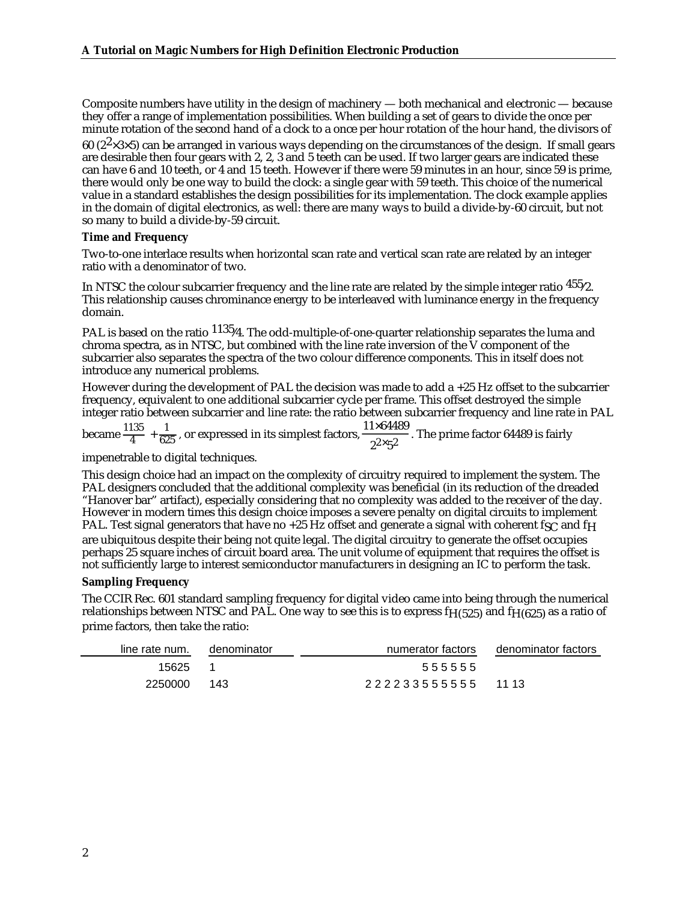Composite numbers have utility in the design of machinery — both mechanical and electronic — because they offer a range of implementation possibilities. When building a set of gears to divide the once per minute rotation of the second hand of a clock to a once per hour rotation of the hour hand, the divisors of

60 ( $2^2 \times 3 \times 5$ ) can be arranged in various ways depending on the circumstances of the design. If small gears are desirable then four gears with 2, 2, 3 and 5 teeth can be used. If two larger gears are indicated these can have 6 and 10 teeth, or 4 and 15 teeth. However if there were 59 minutes in an hour, since 59 is prime, there would only be one way to build the clock: a single gear with 59 teeth. This choice of the numerical value in a standard establishes the design possibilities for its implementation. The clock example applies in the domain of digital electronics, as well: there are many ways to build a divide-by-60 circuit, but not so many to build a divide-by-59 circuit.

## **Time and Frequency**

Two-to-one interlace results when horizontal scan rate and vertical scan rate are related by an integer ratio with a denominator of two.

In NTSC the colour subcarrier frequency and the line rate are related by the simple integer ratio  $455/2$ . This relationship causes chrominance energy to be interleaved with luminance energy in the frequency domain.

PAL is based on the ratio  $1135/4$ . The odd-multiple-of-one-quarter relationship separates the luma and chroma spectra, as in NTSC, but combined with the line rate inversion of the  $\dot{V}$  component of the subcarrier also separates the spectra of the two colour difference components. This in itself does not introduce any numerical problems.

However during the development of PAL the decision was made to add a +25 Hz offset to the subcarrier frequency, equivalent to one additional subcarrier cycle per frame. This offset destroyed the simple integer ratio between subcarrier and line rate: the ratio between subcarrier frequency and line rate in PAL

became  $\frac{1135}{4}$  +  $\frac{1}{625}$ , or expressed in its simplest factors,  $\frac{11\times64489}{2^{2}\times5^{2}}$ . The prime factor 64489 is fairly

impenetrable to digital techniques.

This design choice had an impact on the complexity of circuitry required to implement the system. The PAL designers concluded that the additional complexity was beneficial (in its reduction of the dreaded "Hanover bar" artifact), especially considering that no complexity was added to the receiver of the day. However in modern times this design choice imposes a severe penalty on digital circuits to implement PAL. Test signal generators that have no +25 Hz offset and generate a signal with coherent fsc and f<sub>H</sub> are ubiquitous despite their being not quite legal. The digital circuitry to generate the offset occupies perhaps 25 square inches of circuit board area. The unit volume of equipment that requires the offset is not sufficiently large to interest semiconductor manufacturers in designing an IC to perform the task.

### **Sampling Frequency**

The CCIR Rec. 601 standard sampling frequency for digital video came into being through the numerical relationships between NTSC and PAL. One way to see this is to express  $fH(525)$  and  $fH(625)$  as a ratio of prime factors, then take the ratio:

| line rate num. | denominator | numerator factors | denominator factors |
|----------------|-------------|-------------------|---------------------|
| 15625          |             | 555555            |                     |
| 2250000        | 143         | 222233555555 1113 |                     |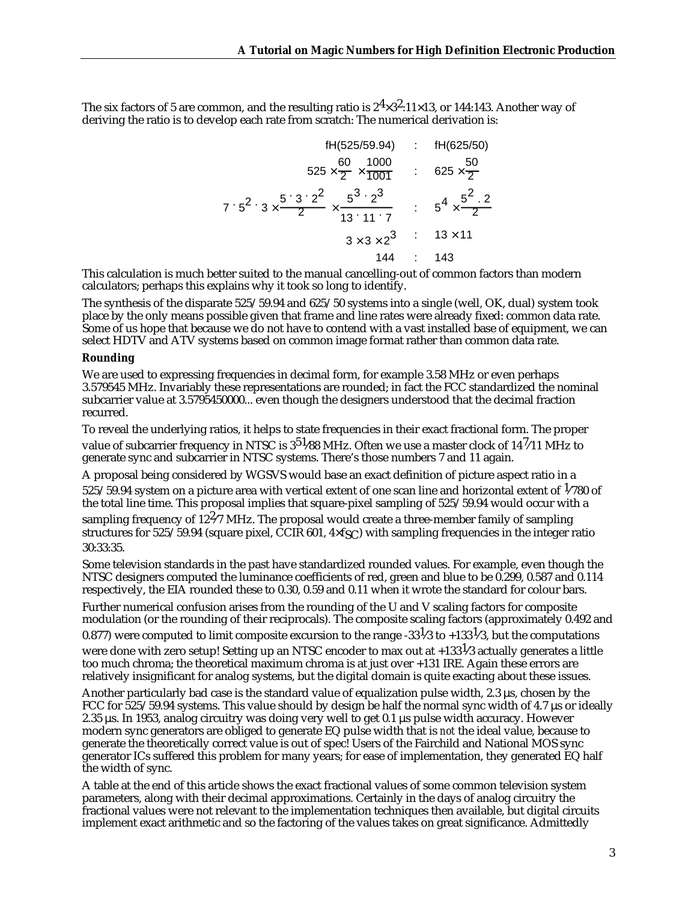The six factors of 5 are common, and the resulting ratio is  $2^4 \times 3^2$ :11×13, or 144:143. Another way of deriving the ratio is to develop each rate from scratch: The numerical derivation is:

| $fH(525/59.94)$                                                                                       | : $fH(625/50)$                         |
|-------------------------------------------------------------------------------------------------------|----------------------------------------|
| $525 \times \frac{60}{2} \times \frac{1000}{1001}$                                                    | : $625 \times \frac{50}{2}$            |
| $7 \cdot 5^2 \cdot 3 \times \frac{5^2 \cdot 3^2}{2} \times \frac{5^3 \cdot 2^3}{13 \cdot 11 \cdot 7}$ | : $5^4 \times \frac{5^2 \cdot 2^2}{2}$ |
| $3 \times 3 \times 2^3$                                                                               | : $13 \times 11$                       |
| $144$                                                                                                 | : $143$                                |

This calculation is much better suited to the manual cancelling-out of common factors than modern calculators; perhaps this explains why it took so long to identify.

The synthesis of the disparate 525/59.94 and 625/50 systems into a single (well, OK, dual) system took place by the only means possible given that frame and line rates were already fixed: common data rate. Some of us hope that because we do not have to contend with a vast installed base of equipment, we can select HDTV and ATV systems based on common image format rather than common data rate.

### **Rounding**

We are used to expressing frequencies in decimal form, for example 3.58 MHz or even perhaps 3.579545 MHz. Invariably these representations are rounded; in fact the FCC standardized the nominal subcarrier value at 3.5795450000... even though the designers understood that the decimal fraction recurred.

To reveal the underlying ratios, it helps to state frequencies in their exact fractional form. The proper value of subcarrier frequency in NTSC is  $3^{51}$ /88 MHz. Often we use a master clock of 14<sup>7</sup>/11 MHz to generate sync and subcarrier in NTSC systems. There's those numbers 7 and 11 again.

A proposal being considered by WGSVS would base an exact definition of picture aspect ratio in a 525/59.94 system on a picture area with vertical extent of one scan line and horizontal extent of  $1/780$  of the total line time. This proposal implies that square-pixel sampling of 525/59.94 would occur with a sampling frequency of  $12\frac{2}{7}$  MHz. The proposal would create a three-member family of sampling structures for 525/59.94 (square pixel, CCIR 601,  $4 \times f$ SC) with sampling frequencies in the integer ratio 30:33:35.

Some television standards in the past have standardized rounded values. For example, even though the NTSC designers computed the luminance coefficients of red, green and blue to be 0.299, 0.587 and 0.114 respectively, the EIA rounded these to 0.30, 0.59 and 0.11 when it wrote the standard for colour bars.

Further numerical confusion arises from the rounding of the U and V scaling factors for composite modulation (or the rounding of their reciprocals). The composite scaling factors (approximately 0.492 and 0.877) were computed to limit composite excursion to the range -33<sup>1</sup>/3 to +133<sup>1</sup>/3, but the computations were done with zero setup! Setting up an NTSC encoder to max out at  $+133^{1/3}$  actually generates a little

too much chroma; the theoretical maximum chroma is at just over +131 IRE. Again these errors are relatively insignificant for analog systems, but the digital domain is quite exacting about these issues.

Another particularly bad case is the standard value of equalization pulse width, 2.3 µs, chosen by the FCC for 525/59.94 systems. This value should by design be half the normal sync width of 4.7 µs or ideally 2.35 µs. In 1953, analog circuitry was doing very well to get 0.1 µs pulse width accuracy. However modern sync generators are obliged to generate EQ pulse width that is *not* the ideal value, because to generate the theoretically correct value is out of spec! Users of the Fairchild and National MOS sync generator ICs suffered this problem for many years; for ease of implementation, they generated EQ half the width of sync.

A table at the end of this article shows the exact fractional values of some common television system parameters, along with their decimal approximations. Certainly in the days of analog circuitry the fractional values were not relevant to the implementation techniques then available, but digital circuits implement exact arithmetic and so the factoring of the values takes on great significance. Admittedly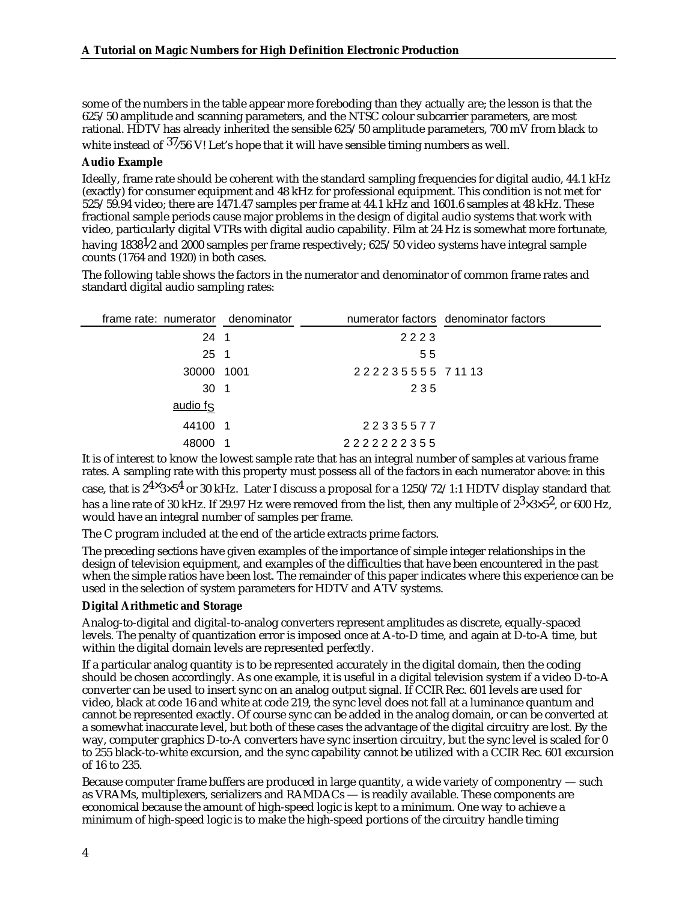some of the numbers in the table appear more foreboding than they actually are; the lesson is that the 625/50 amplitude and scanning parameters, and the NTSC colour subcarrier parameters, are most rational. HDTV has already inherited the sensible 625/50 amplitude parameters, 700 mV from black to

white instead of  $37/56$  V! Let's hope that it will have sensible timing numbers as well.

## **Audio Example**

Ideally, frame rate should be coherent with the standard sampling frequencies for digital audio, 44.1 kHz (exactly) for consumer equipment and 48 kHz for professional equipment. This condition is not met for 525/59.94 video; there are 1471.47 samples per frame at 44.1 kHz and 1601.6 samples at 48 kHz. These fractional sample periods cause major problems in the design of digital audio systems that work with video, particularly digital VTRs with digital audio capability. Film at 24 Hz is somewhat more fortunate, having 1838<sup>1</sup>/2 and 2000 samples per frame respectively; 625/50 video systems have integral sample counts (1764 and 1920) in both cases.

The following table shows the factors in the numerator and denominator of common frame rates and standard digital audio sampling rates:

| frame rate: numerator denominator |                 | numerator factors denominator factors |
|-----------------------------------|-----------------|---------------------------------------|
| $24 \quad 1$                      | 2223            |                                       |
| $25 \quad 1$                      | 55              |                                       |
| 30000 1001                        | 222235555 71113 |                                       |
| 30 <sub>1</sub>                   | 235             |                                       |
| audio fs                          |                 |                                       |
| 44100 1                           | 22335577        |                                       |
| 48000                             | 2222222355      |                                       |

It is of interest to know the lowest sample rate that has an integral number of samples at various frame rates. A sampling rate with this property must possess all of the factors in each numerator above: in this case, that is  $2^{4} \times 3 \times 5^4$  or 30 kHz. Later I discuss a proposal for a 1250/72/1:1 HDTV display standard that has a line rate of 30 kHz. If 29.97 Hz were removed from the list, then any multiple of  $2^3 \times 3 \times 5^2$ , or 600 Hz, would have an integral number of samples per frame.

The C program included at the end of the article extracts prime factors.

The preceding sections have given examples of the importance of simple integer relationships in the design of television equipment, and examples of the difficulties that have been encountered in the past when the simple ratios have been lost. The remainder of this paper indicates where this experience can be used in the selection of system parameters for HDTV and ATV systems.

### **Digital Arithmetic and Storage**

Analog-to-digital and digital-to-analog converters represent amplitudes as discrete, equally-spaced levels. The penalty of quantization error is imposed once at A-to-D time, and again at D-to-A time, but within the digital domain levels are represented perfectly.

If a particular analog quantity is to be represented accurately in the digital domain, then the coding should be chosen accordingly. As one example, it is useful in a digital television system if a video D-to-A converter can be used to insert sync on an analog output signal. If CCIR Rec. 601 levels are used for video, black at code 16 and white at code 219, the sync level does not fall at a luminance quantum and cannot be represented exactly. Of course sync can be added in the analog domain, or can be converted at a somewhat inaccurate level, but both of these cases the advantage of the digital circuitry are lost. By the way, computer graphics D-to-A converters have sync insertion circuitry, but the sync level is scaled for 0 to 255 black-to-white excursion, and the sync capability cannot be utilized with a CCIR Rec. 601 excursion of 16 to 235.

Because computer frame buffers are produced in large quantity, a wide variety of componentry — such as VRAMs, multiplexers, serializers and RAMDACs — is readily available. These components are economical because the amount of high-speed logic is kept to a minimum. One way to achieve a minimum of high-speed logic is to make the high-speed portions of the circuitry handle timing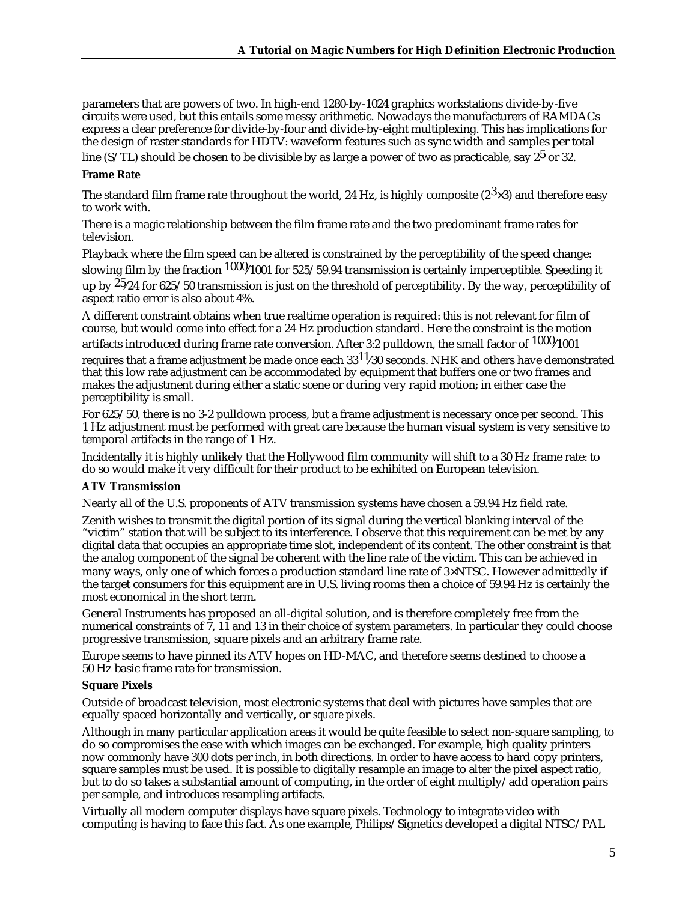parameters that are powers of two. In high-end 1280-by-1024 graphics workstations divide-by-five circuits were used, but this entails some messy arithmetic. Nowadays the manufacturers of RAMDACs express a clear preference for divide-by-four and divide-by-eight multiplexing. This has implications for the design of raster standards for HDTV: waveform features such as sync width and samples per total line (S/TL) should be chosen to be divisible by as large a power of two as practicable, say  $2^5$  or 32.

## **Frame Rate**

The standard film frame rate throughout the world, 24 Hz, is highly composite ( $2^3 \times 3$ ) and therefore easy to work with.

There is a magic relationship between the film frame rate and the two predominant frame rates for television.

Playback where the film speed can be altered is constrained by the perceptibility of the speed change: slowing film by the fraction  $1000/1001$  for 525/59.94 transmission is certainly imperceptible. Speeding it up by  $25/24$  for  $625/50$  transmission is just on the threshold of perceptibility. By the way, perceptibility of aspect ratio error is also about 4%.

A different constraint obtains when true realtime operation is required: this is not relevant for film of course, but would come into effect for a 24 Hz production standard. Here the constraint is the motion

artifacts introduced during frame rate conversion. After 3:2 pulldown, the small factor of  $1000/1001$ 

requires that a frame adjustment be made once each  $33^{11}/30$  seconds. NHK and others have demonstrated that this low rate adjustment can be accommodated by equipment that buffers one or two frames and makes the adjustment during either a static scene or during very rapid motion; in either case the perceptibility is small.

For 625/50, there is no 3-2 pulldown process, but a frame adjustment is necessary once per second. This 1 Hz adjustment must be performed with great care because the human visual system is very sensitive to temporal artifacts in the range of 1 Hz.

Incidentally it is highly unlikely that the Hollywood film community will shift to a 30 Hz frame rate: to do so would make it very difficult for their product to be exhibited on European television.

### **ATV Transmission**

Nearly all of the U.S. proponents of ATV transmission systems have chosen a 59.94 Hz field rate.

Zenith wishes to transmit the digital portion of its signal during the vertical blanking interval of the "victim" station that will be subject to its interference. I observe that this requirement can be met by any digital data that occupies an appropriate time slot, independent of its content. The other constraint is that the analog component of the signal be coherent with the line rate of the victim. This can be achieved in many ways, only one of which forces a production standard line rate of 3×NTSC. However admittedly if the target consumers for this equipment are in U.S. living rooms then a choice of 59.94 Hz is certainly the most economical in the short term.

General Instruments has proposed an all-digital solution, and is therefore completely free from the numerical constraints of  $\hat{7}$ , 11 and 13 in their choice of system parameters. In particular they could choose progressive transmission, square pixels and an arbitrary frame rate.

Europe seems to have pinned its ATV hopes on HD-MAC, and therefore seems destined to choose a 50 Hz basic frame rate for transmission.

# **Square Pixels**

Outside of broadcast television, most electronic systems that deal with pictures have samples that are equally spaced horizontally and vertically, or *square pixels*.

Although in many particular application areas it would be quite feasible to select non-square sampling, to do so compromises the ease with which images can be exchanged. For example, high quality printers now commonly have 300 dots per inch, in both directions. In order to have access to hard copy printers, square samples must be used. It is possible to digitally resample an image to alter the pixel aspect ratio, but to do so takes a substantial amount of computing, in the order of eight multiply/add operation pairs per sample, and introduces resampling artifacts.

Virtually all modern computer displays have square pixels. Technology to integrate video with computing is having to face this fact. As one example, Philips/Signetics developed a digital NTSC/PAL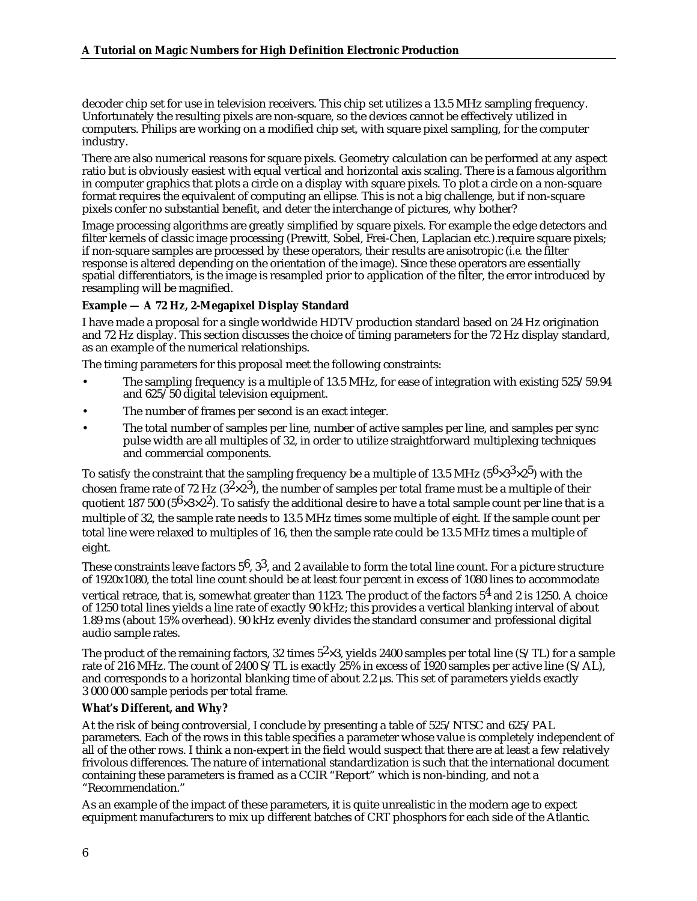decoder chip set for use in television receivers. This chip set utilizes a 13.5 MHz sampling frequency. Unfortunately the resulting pixels are non-square, so the devices cannot be effectively utilized in computers. Philips are working on a modified chip set, with square pixel sampling, for the computer industry.

There are also numerical reasons for square pixels. Geometry calculation can be performed at any aspect ratio but is obviously easiest with equal vertical and horizontal axis scaling. There is a famous algorithm in computer graphics that plots a circle on a display with square pixels. To plot a circle on a non-square format requires the equivalent of computing an ellipse. This is not a big challenge, but if non-square pixels confer no substantial benefit, and deter the interchange of pictures, why bother?

Image processing algorithms are greatly simplified by square pixels. For example the edge detectors and filter kernels of classic image processing (Prewitt, Sobel, Frei-Chen, Laplacian etc.).require square pixels; if non-square samples are processed by these operators, their results are anisotropic (*i.e.* the filter response is altered depending on the orientation of the image). Since these operators are essentially spatial differentiators, is the image is resampled prior to application of the filter, the error introduced by resampling will be magnified.

# **Example — A 72 Hz, 2-Megapixel Display Standard**

I have made a proposal for a single worldwide HDTV production standard based on 24 Hz origination and 72 Hz display. This section discusses the choice of timing parameters for the 72 Hz display standard, as an example of the numerical relationships.

The timing parameters for this proposal meet the following constraints:

- The sampling frequency is a multiple of 13.5 MHz, for ease of integration with existing 525/59.94 and 625/50 digital television equipment.
- The number of frames per second is an exact integer.
- The total number of samples per line, number of active samples per line, and samples per sync pulse width are all multiples of 32, in order to utilize straightforward multiplexing techniques and commercial components.

To satisfy the constraint that the sampling frequency be a multiple of 13.5 MHz ( $56\times33\times25$ ) with the chosen frame rate of 72 Hz  $(3^2\times2^3)$ , the number of samples per total frame must be a multiple of their quotient 187 500 (5 $6\times3\times2^2$ ). To satisfy the additional desire to have a total sample count per line that is a multiple of 32, the sample rate needs to 13.5 MHz times some multiple of eight. If the sample count per total line were relaxed to multiples of 16, then the sample rate could be 13.5 MHz times a multiple of eight.

These constraints leave factors  $5^6$ ,  $3^3$ , and 2 available to form the total line count. For a picture structure of 1920x1080, the total line count should be at least four percent in excess of 1080 lines to accommodate vertical retrace, that is, somewhat greater than 1123. The product of the factors  $5<sup>4</sup>$  and 2 is 1250. A choice of 1250 total lines yields a line rate of exactly 90 kHz; this provides a vertical blanking interval of about 1.89 ms (about 15% overhead). 90 kHz evenly divides the standard consumer and professional digital audio sample rates.

The product of the remaining factors, 32 times  $5^2 \times 3$ , yields 2400 samples per total line (S/TL) for a sample rate of 216 MHz. The count of 2400 S/TL is exactly 25% in excess of 1920 samples per active line (S/AL), and corresponds to a horizontal blanking time of about 2.2  $\mu$ s. This set of parameters yields exactly 3 000 000 sample periods per total frame.

### **What's Different, and Why?**

At the risk of being controversial, I conclude by presenting a table of 525/NTSC and 625/PAL parameters. Each of the rows in this table specifies a parameter whose value is completely independent of all of the other rows. I think a non-expert in the field would suspect that there are at least a few relatively frivolous differences. The nature of international standardization is such that the international document containing these parameters is framed as a CCIR "Report" which is non-binding, and not a "Recommendation."

As an example of the impact of these parameters, it is quite unrealistic in the modern age to expect equipment manufacturers to mix up different batches of CRT phosphors for each side of the Atlantic.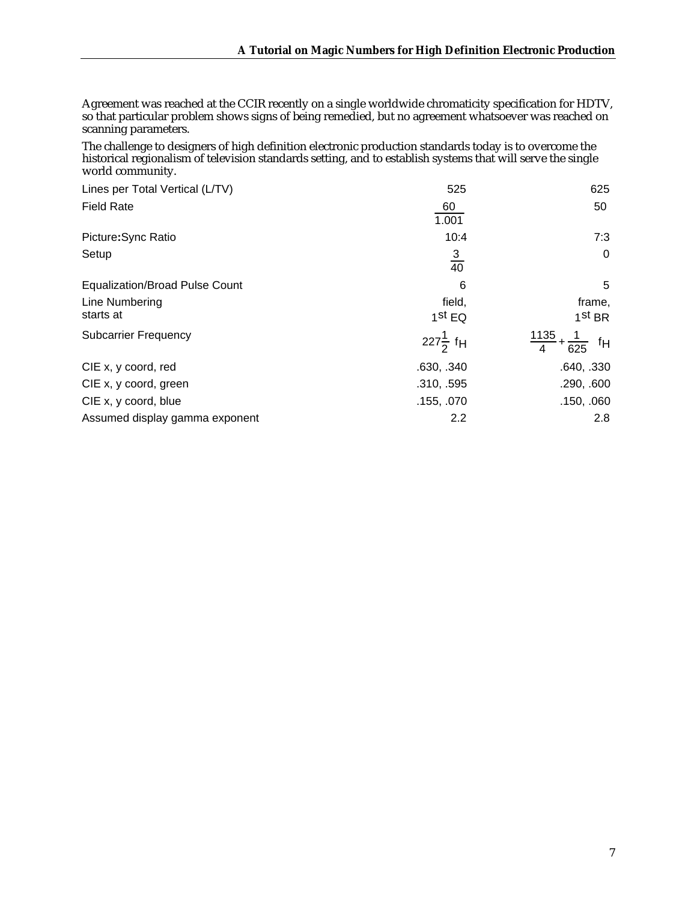Agreement was reached at the CCIR recently on a single worldwide chromaticity specification for HDTV, so that particular problem shows signs of being remedied, but no agreement whatsoever was reached on scanning parameters.

The challenge to designers of high definition electronic production standards today is to overcome the historical regionalism of television standards setting, and to establish systems that will serve the single world community.

|                                  | 625                                                          |
|----------------------------------|--------------------------------------------------------------|
| 60<br>1.001                      | 50                                                           |
| 10:4                             | 7:3                                                          |
| $\frac{3}{40}$                   | $\Omega$                                                     |
| 6                                | 5                                                            |
| field,                           | frame,                                                       |
| $1st$ EQ                         | 1 <sup>st</sup> BR                                           |
| 227 $\frac{1}{2}$ f <sub>H</sub> | $\left[\frac{1135}{4} + \frac{1}{625}\right]$ f <sub>H</sub> |
| .630, .340                       | .640, .330                                                   |
| .310, .595                       | .290, .600                                                   |
| .155, .070                       | .150, .060                                                   |
| 2.2                              | 2.8                                                          |
|                                  | 525                                                          |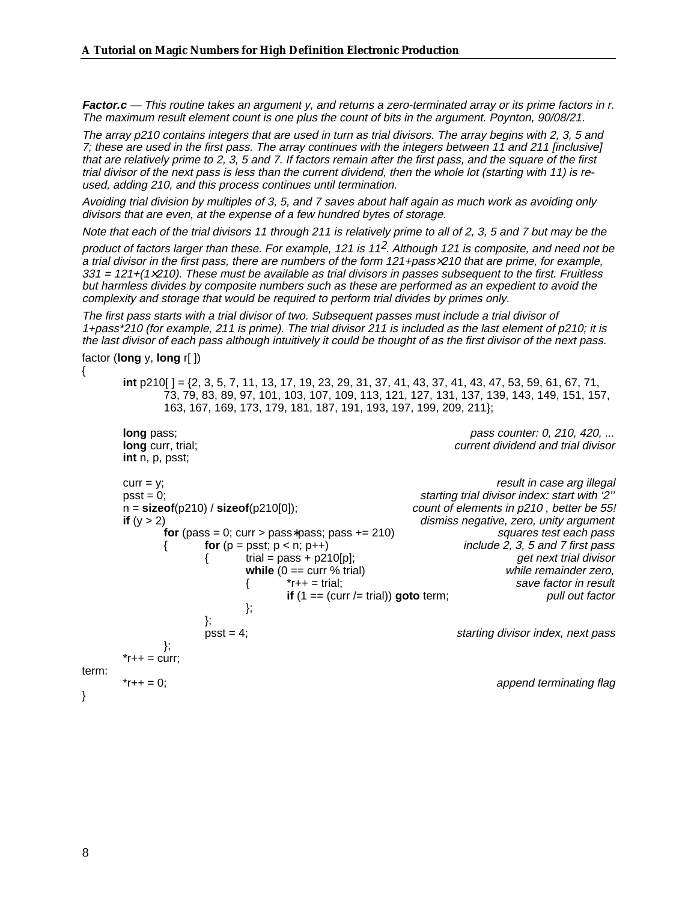**Factor.c** — This routine takes an argument y, and returns a zero-terminated array or its prime factors in r. The maximum result element count is one plus the count of bits in the argument. Poynton, 90/08/21.

The array p210 contains integers that are used in turn as trial divisors. The array begins with 2, 3, 5 and 7; these are used in the first pass. The array continues with the integers between 11 and 211 [inclusive] that are relatively prime to 2, 3, 5 and 7. If factors remain after the first pass, and the square of the first trial divisor of the next pass is less than the current dividend, then the whole lot (starting with 11) is reused, adding 210, and this process continues until termination.

Avoiding trial division by multiples of 3, 5, and 7 saves about half again as much work as avoiding only divisors that are even, at the expense of a few hundred bytes of storage.

Note that each of the trial divisors 11 through 211 is relatively prime to all of 2, 3, 5 and 7 but may be the

product of factors larger than these. For example, 121 is 11<sup>2</sup>. Although 121 is composite, and need not be a trial divisor in the first pass, there are numbers of the form 121+pass×210 that are prime, for example,  $331 = 121+(1\times210)$ . These must be available as trial divisors in passes subsequent to the first. Fruitless but harmless divides by composite numbers such as these are performed as an expedient to avoid the complexity and storage that would be required to perform trial divides by primes only.

The first pass starts with a trial divisor of two. Subsequent passes must include a trial divisor of 1+pass\*210 (for example, 211 is prime). The trial divisor 211 is included as the last element of p210; it is the last divisor of each pass although intuitively it could be thought of as the first divisor of the next pass.

factor (**long** y, **long** r[ ])

{

**int** p210[ ] = {2, 3, 5, 7, 11, 13, 17, 19, 23, 29, 31, 37, 41, 43, 37, 41, 43, 47, 53, 59, 61, 67, 71, 73, 79, 83, 89, 97, 101, 103, 107, 109, 113, 121, 127, 131, 137, 139, 143, 149, 151, 157, 163, 167, 169, 173, 179, 181, 187, 191, 193, 197, 199, 209, 211};

```
long pass; pass counter: 0, 210, 420, ... pass counter: 0, 210, 420, ...
       long curr, trial; current dividend and trial divisor
       int n, p, psst;
       curr = y; result in case arg illegal
       psst = 0;<br>
p = \frac{1}{2}' p = \frac{1}{2} = \frac{1}{2} = \frac{1}{2} = \frac{1}{2} = \frac{1}{2} = \frac{1}{2} = \frac{1}{2} = \frac{1}{2} = \frac{1}{2} = \frac{1}{2} = \frac{1}{2} = \frac{1}{2} = \frac{1}{2} = \frac{1}{2} = \frac{1}{2} = \frac{1}{2count of elements in p210, better be 55!
       if (y > 2) dismiss negative, zero, unity argument for (pass = 0; curr > pass*pass; pass += 210) dismiss negative, zero, unity argument
               for (pass = 0; curr > pass*pass; pass += 210) { for (p = p s s t; p < n; p++)include 2, 3, 5 and 7 first pass{\{ trial = pass + p210[p]; \{ get next trial divisor \{ while (0 == curr % trial)
                               while (0 == \text{curr } \% \text{ trial})\{ *r++ = trial; save factor in result
                                       if (1 == (curr /= trial)) goto term; pull out factor
                               };
                       };
                       psst = 4; starting divisor index, next pass
               };
        *r++ = \text{curr};
term:
        *r++ = 0; append terminating flag
```
}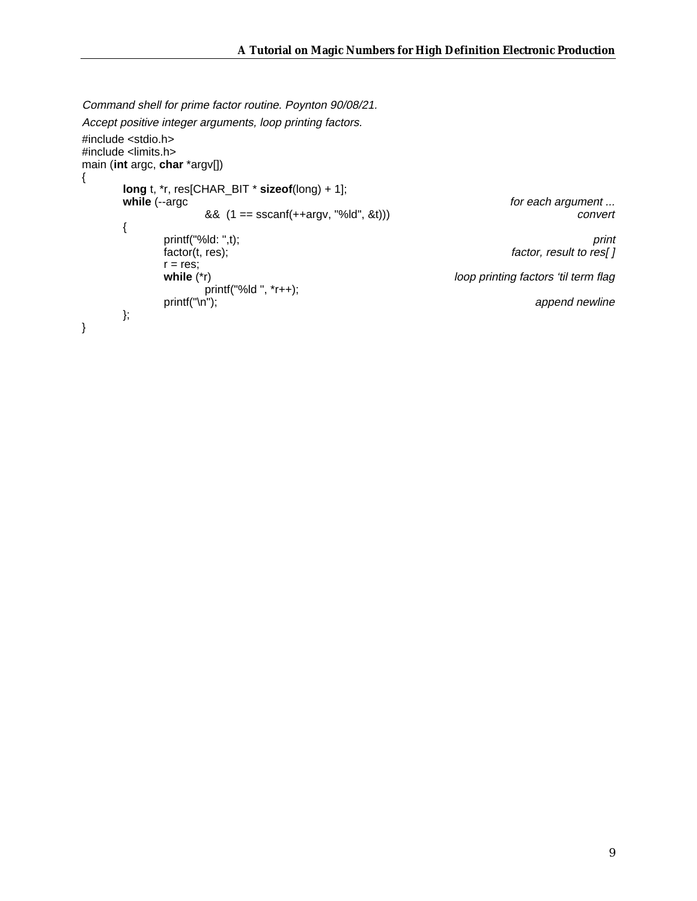Command shell for prime factor routine. Poynton 90/08/21. Accept positive integer arguments, loop printing factors.

```
#include <stdio.h>
#include <limits.h>
main (int argc, char *argv[])
{
        long t, *r, res[CHAR_BIT * sizeof(long) + 1];
                                                                                             for each argument ...<br>convert
                          & 8 (1 == \text{sscant}(++\text{arg}v, \text{ "Md", }& t))){
                 printf("%ld: ",t);<br>factor(t, res);<br>factor, result to res[]
                                                                                             factor, result to res[]r = res;<br>while (*r)loop printing factors 'til term flag
                 printf("%ld ", *r++);<br>printf("\n");
                                                                                                  append newline
        };
}
```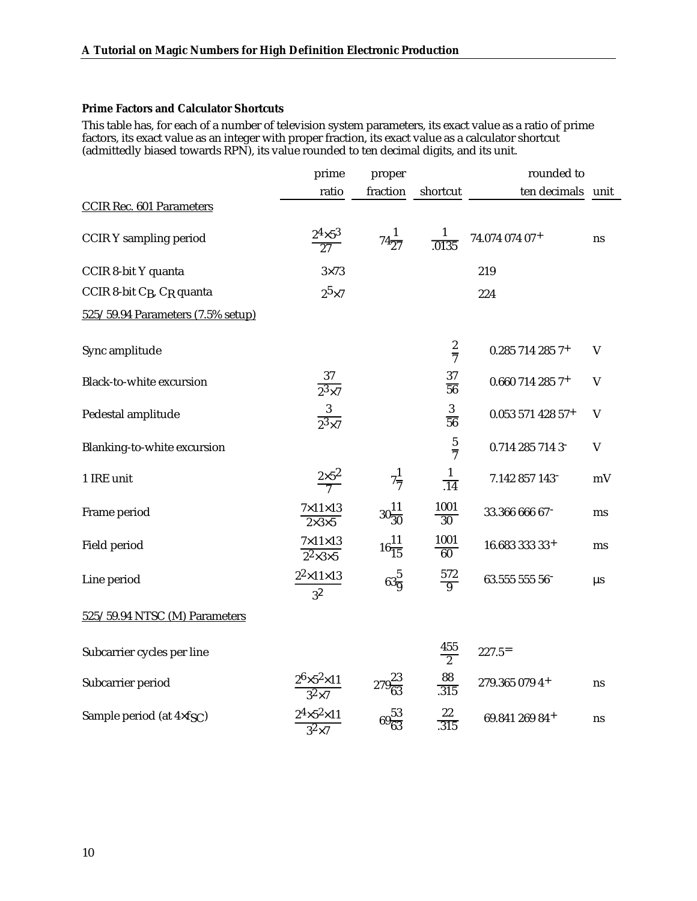## **Prime Factors and Calculator Shortcuts**

This table has, for each of a number of television system parameters, its exact value as a ratio of prime factors, its exact value as an integer with proper fraction, its exact value as a calculator shortcut (admittedly biased towards RPN), its value rounded to ten decimal digits, and its unit.

|                                                   | prime                                           | proper             |                         | rounded to           |             |
|---------------------------------------------------|-------------------------------------------------|--------------------|-------------------------|----------------------|-------------|
|                                                   | ratio                                           | fraction           | shortcut                | ten decimals         | unit        |
| <b>CCIR Rec. 601 Parameters</b>                   |                                                 |                    |                         |                      |             |
| <b>CCIR Y sampling period</b>                     | $2^4 \times 5^3$<br>$\overline{27}$             | $74\frac{1}{27}$   | $\frac{1}{0.0135}$      | 74.074 074 07+       | ns          |
| CCIR 8-bit Y quanta                               | $3\times73$                                     |                    |                         | 219                  |             |
| CCIR 8-bit C <sub>B</sub> , C <sub>R</sub> quanta | $2^5\times7$                                    |                    | 224                     |                      |             |
| 525/59.94 Parameters (7.5% setup)                 |                                                 |                    |                         |                      |             |
|                                                   |                                                 |                    |                         |                      |             |
| Sync amplitude                                    |                                                 |                    | $rac{2}{7}$             | 0.285 714 285 7+     | $\mathbf V$ |
| Black-to-white excursion                          | $\frac{37}{2^3 \times 7}$                       |                    | $\frac{37}{56}$         | $0.6607142857+$      | $\mathbf V$ |
| Pedestal amplitude                                | $\frac{3}{2^3 \times 7}$                        |                    | $\frac{3}{56}$          | $0.05357142857+$     | V           |
| Blanking-to-white excursion                       |                                                 |                    | $rac{5}{7}$             | 0.714 285 714 3      | $\mathbf V$ |
| 1 IRE unit                                        | $\frac{2\times5^2}{7}$                          | $7\frac{1}{7}$     | $\frac{1}{.14}$         | 7.142 857 143        | mV          |
| Frame period                                      | $7\times11\times13$<br>$2\times3\times5$        | $30\frac{11}{30}$  | 1001<br>$\overline{30}$ | 33.366 666 67        | ms          |
| Field period                                      | $7\times11\times13$<br>$2^2 \times 3 \times 5$  | $16\frac{11}{15}$  | $\frac{1001}{60}$       | 16.683 333 33+       | ms          |
| Line period                                       | $2^2 \times 11 \times 13$<br>3 <sup>2</sup>     | $63\frac{5}{9}$    | $\frac{572}{9}$         | 63.555 555 56        | $\mu s$     |
| 525/59.94 NTSC (M) Parameters                     |                                                 |                    |                         |                      |             |
| Subcarrier cycles per line                        |                                                 |                    | $\frac{455}{2}$         | $227.5$ <sup>=</sup> |             |
| Subcarrier period                                 | $\frac{2^6\times5^2\times11}{3^2\times7}$       | $279\frac{23}{63}$ | $\frac{88}{.315}$       | 279.365 079 4+       | ns          |
| Sample period (at 4×f <sub>SC</sub> )             | $2^4 \times 5^2 \times 11$<br>3 <sup>2</sup> ×7 | $69\frac{53}{63}$  | 22<br>.315              | 69.841 269 84+       | ns          |